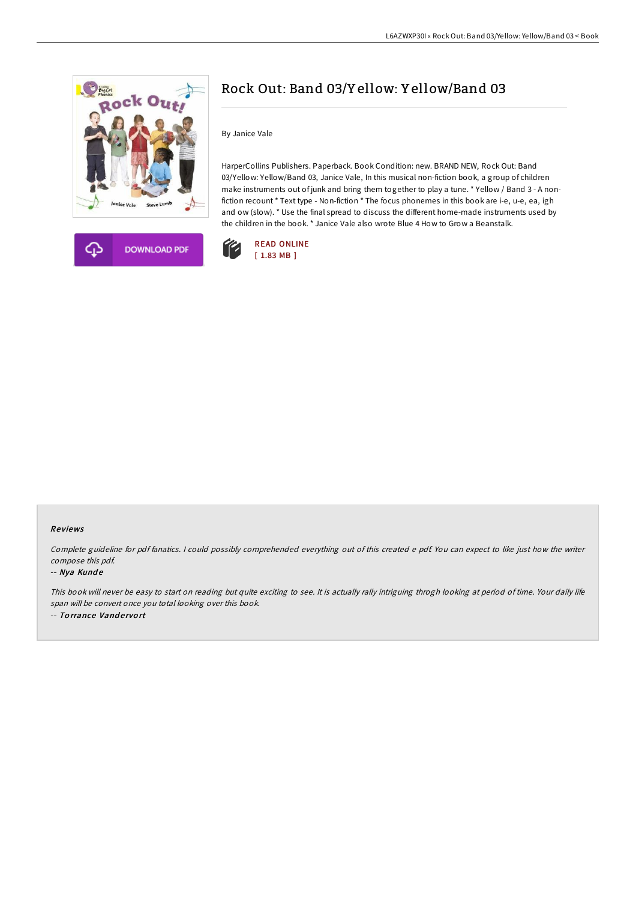



## Rock Out: Band 03/Y ellow: Y ellow/Band 03

By Janice Vale

HarperCollins Publishers. Paperback. Book Condition: new. BRAND NEW, Rock Out: Band 03/Yellow: Yellow/Band 03, Janice Vale, In this musical non-fiction book, a group of children make instruments out of junk and bring them together to play a tune. \* Yellow / Band 3 - A nonfiction recount \* Text type - Non-fiction \* The focus phonemes in this book are i-e, u-e, ea, igh and ow (slow). \* Use the final spread to discuss the different home-made instruments used by the children in the book. \* Janice Vale also wrote Blue 4 How to Grow a Beanstalk.



## Re views

Complete guideline for pdf fanatics. <sup>I</sup> could possibly comprehended everything out of this created <sup>e</sup> pdf. You can expect to like just how the writer compose this pdf.

## -- Nya Kunde

This book will never be easy to start on reading but quite exciting to see. It is actually rally intriguing throgh looking at period of time. Your daily life span will be convert once you total looking over this book. -- Torrance Vandervort